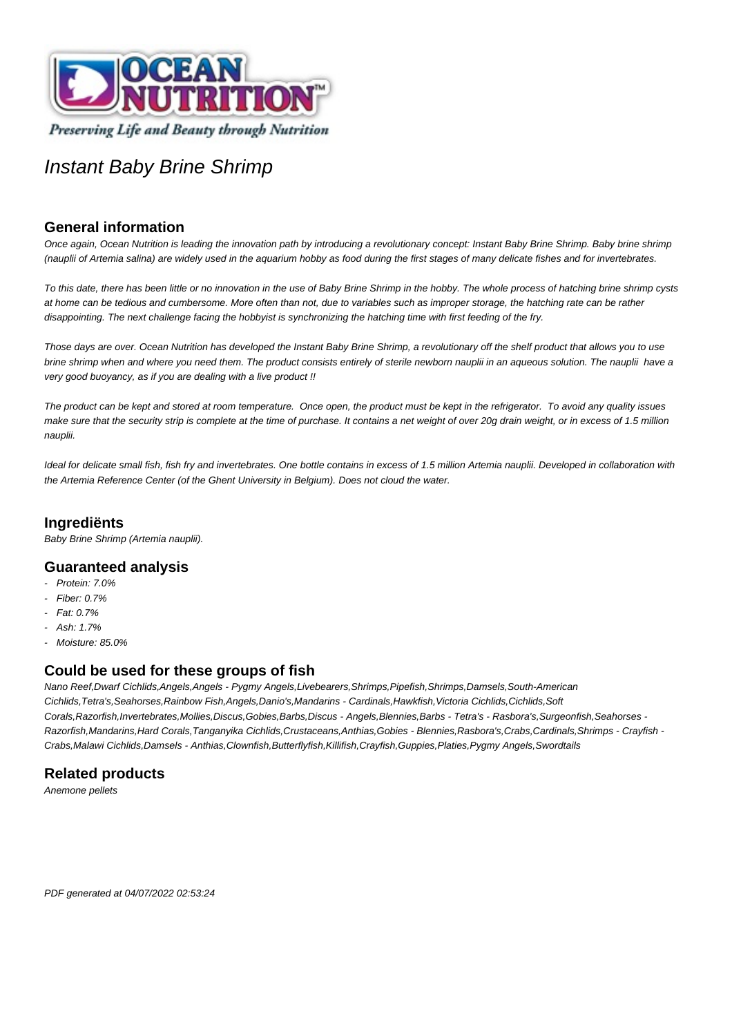

# Instant Baby Brine Shrimp

## **General information**

Once again, Ocean Nutrition is leading the innovation path by introducing a revolutionary concept: Instant Baby Brine Shrimp. Baby brine shrimp (nauplii of Artemia salina) are widely used in the aquarium hobby as food during the first stages of many delicate fishes and for invertebrates.

To this date, there has been little or no innovation in the use of Baby Brine Shrimp in the hobby. The whole process of hatching brine shrimp cysts at home can be tedious and cumbersome. More often than not, due to variables such as improper storage, the hatching rate can be rather disappointing. The next challenge facing the hobbyist is synchronizing the hatching time with first feeding of the fry.

Those days are over. Ocean Nutrition has developed the Instant Baby Brine Shrimp, a revolutionary off the shelf product that allows you to use brine shrimp when and where you need them. The product consists entirely of sterile newborn nauplii in an aqueous solution. The nauplii have a very good buoyancy, as if you are dealing with a live product !!

The product can be kept and stored at room temperature. Once open, the product must be kept in the refrigerator. To avoid any quality issues make sure that the security strip is complete at the time of purchase. It contains a net weight of over 20g drain weight, or in excess of 1.5 million nauplii.

Ideal for delicate small fish, fish fry and invertebrates. One bottle contains in excess of 1.5 million Artemia nauplii. Developed in collaboration with the Artemia Reference Center (of the Ghent University in Belgium). Does not cloud the water.

### **Ingrediënts**

Baby Brine Shrimp (Artemia nauplii).

#### **Guaranteed analysis**

- Protein: 7.0%
- Fiber: 0.7%
- Fat: 0.7%
- $Ash: 1.7%$
- Moisture: 85.0%

#### **Could be used for these groups of fish**

Nano Reef,Dwarf Cichlids,Angels,Angels - Pygmy Angels,Livebearers,Shrimps,Pipefish,Shrimps,Damsels,South-American Cichlids,Tetra's,Seahorses,Rainbow Fish,Angels,Danio's,Mandarins - Cardinals,Hawkfish,Victoria Cichlids,Cichlids,Soft Corals,Razorfish,Invertebrates,Mollies,Discus,Gobies,Barbs,Discus - Angels,Blennies,Barbs - Tetra's - Rasbora's,Surgeonfish,Seahorses - Razorfish,Mandarins,Hard Corals,Tanganyika Cichlids,Crustaceans,Anthias,Gobies - Blennies,Rasbora's,Crabs,Cardinals,Shrimps - Crayfish - Crabs,Malawi Cichlids,Damsels - Anthias,Clownfish,Butterflyfish,Killifish,Crayfish,Guppies,Platies,Pygmy Angels,Swordtails

## **Related products**

Anemone pellets

PDF generated at 04/07/2022 02:53:24